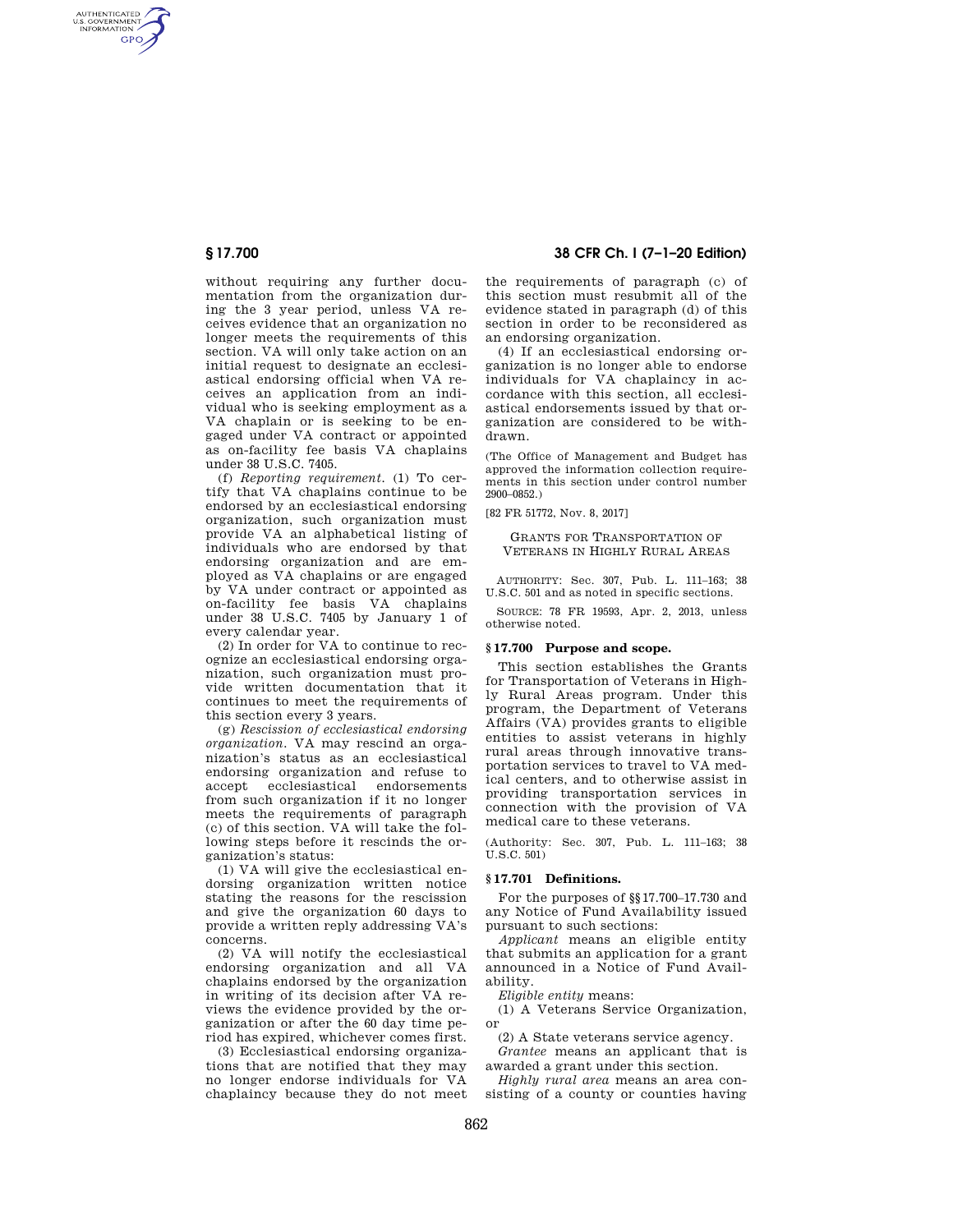AUTHENTICATED<br>U.S. GOVERNMENT<br>INFORMATION GPO

> without requiring any further documentation from the organization during the 3 year period, unless VA receives evidence that an organization no longer meets the requirements of this section. VA will only take action on an initial request to designate an ecclesiastical endorsing official when VA receives an application from an individual who is seeking employment as a VA chaplain or is seeking to be engaged under VA contract or appointed as on-facility fee basis VA chaplains under 38 U.S.C. 7405.

> (f) *Reporting requirement.* (1) To certify that VA chaplains continue to be endorsed by an ecclesiastical endorsing organization, such organization must provide VA an alphabetical listing of individuals who are endorsed by that endorsing organization and are employed as VA chaplains or are engaged by VA under contract or appointed as on-facility fee basis VA chaplains under 38 U.S.C. 7405 by January 1 of every calendar year.

(2) In order for VA to continue to recognize an ecclesiastical endorsing organization, such organization must provide written documentation that it continues to meet the requirements of this section every 3 years.

(g) *Rescission of ecclesiastical endorsing organization.* VA may rescind an organization's status as an ecclesiastical endorsing organization and refuse to accept ecclesiastical endorsements from such organization if it no longer meets the requirements of paragraph (c) of this section. VA will take the following steps before it rescinds the organization's status:

(1) VA will give the ecclesiastical endorsing organization written notice stating the reasons for the rescission and give the organization 60 days to provide a written reply addressing VA's concerns.

(2) VA will notify the ecclesiastical endorsing organization and all VA chaplains endorsed by the organization in writing of its decision after VA reviews the evidence provided by the organization or after the 60 day time period has expired, whichever comes first.

(3) Ecclesiastical endorsing organizations that are notified that they may no longer endorse individuals for VA chaplaincy because they do not meet

# **§ 17.700 38 CFR Ch. I (7–1–20 Edition)**

the requirements of paragraph (c) of this section must resubmit all of the evidence stated in paragraph (d) of this section in order to be reconsidered as an endorsing organization.

(4) If an ecclesiastical endorsing organization is no longer able to endorse individuals for VA chaplaincy in accordance with this section, all ecclesiastical endorsements issued by that organization are considered to be withdrawn.

(The Office of Management and Budget has approved the information collection requirements in this section under control number 2900–0852.)

[82 FR 51772, Nov. 8, 2017]

#### GRANTS FOR TRANSPORTATION OF VETERANS IN HIGHLY RURAL AREAS

AUTHORITY: Sec. 307, Pub. L. 111–163; 38 U.S.C. 501 and as noted in specific sections.

SOURCE: 78 FR 19593, Apr. 2, 2013, unless otherwise noted.

### **§ 17.700 Purpose and scope.**

This section establishes the Grants for Transportation of Veterans in Highly Rural Areas program. Under this program, the Department of Veterans Affairs (VA) provides grants to eligible entities to assist veterans in highly rural areas through innovative transportation services to travel to VA medical centers, and to otherwise assist in providing transportation services in connection with the provision of VA medical care to these veterans.

(Authority: Sec. 307, Pub. L. 111–163; 38 U.S.C. 501)

### **§ 17.701 Definitions.**

For the purposes of §§17.700–17.730 and any Notice of Fund Availability issued pursuant to such sections:

*Applicant* means an eligible entity that submits an application for a grant announced in a Notice of Fund Availability.

*Eligible entity* means:

(1) A Veterans Service Organization, or

(2) A State veterans service agency.

*Grantee* means an applicant that is awarded a grant under this section.

*Highly rural area* means an area consisting of a county or counties having